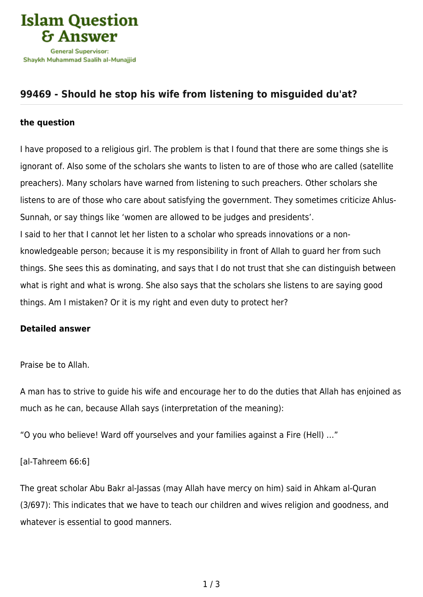

## **[99469 - Should he stop his wife from listening to misguided du'at?](https://islamqa.com/en/answers/99469/should-he-stop-his-wife-from-listening-to-misguided-duat)**

## **the question**

I have proposed to a religious girl. The problem is that I found that there are some things she is ignorant of. Also some of the scholars she wants to listen to are of those who are called (satellite preachers). Many scholars have warned from listening to such preachers. Other scholars she listens to are of those who care about satisfying the government. They sometimes criticize Ahlus-Sunnah, or say things like 'women are allowed to be judges and presidents'. I said to her that I cannot let her listen to a scholar who spreads innovations or a nonknowledgeable person; because it is my responsibility in front of Allah to guard her from such things. She sees this as dominating, and says that I do not trust that she can distinguish between what is right and what is wrong. She also says that the scholars she listens to are saying good things. Am I mistaken? Or it is my right and even duty to protect her?

## **Detailed answer**

Praise be to Allah.

A man has to strive to guide his wife and encourage her to do the duties that Allah has enjoined as much as he can, because Allah says (interpretation of the meaning):

"O you who believe! Ward off yourselves and your families against a Fire (Hell) …"

[al-Tahreem 66:6]

The great scholar Abu Bakr al-Jassas (may Allah have mercy on him) said in Ahkam al-Quran (3/697): This indicates that we have to teach our children and wives religion and goodness, and whatever is essential to good manners.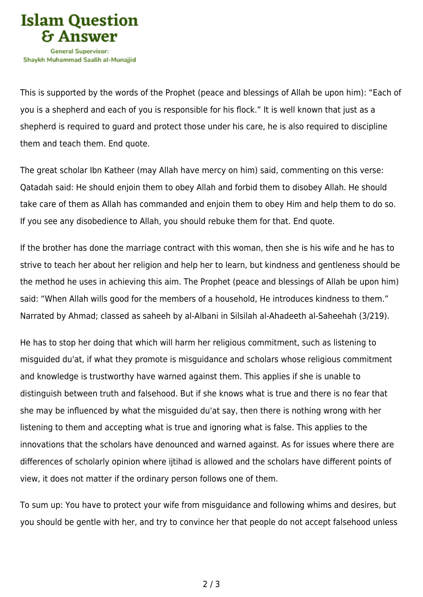

This is supported by the words of the Prophet (peace and blessings of Allah be upon him): "Each of you is a shepherd and each of you is responsible for his flock." It is well known that just as a shepherd is required to guard and protect those under his care, he is also required to discipline them and teach them. End quote.

The great scholar Ibn Katheer (may Allah have mercy on him) said, commenting on this verse: Qatadah said: He should enjoin them to obey Allah and forbid them to disobey Allah. He should take care of them as Allah has commanded and enjoin them to obey Him and help them to do so. If you see any disobedience to Allah, you should rebuke them for that. End quote.

If the brother has done the marriage contract with this woman, then she is his wife and he has to strive to teach her about her religion and help her to learn, but kindness and gentleness should be the method he uses in achieving this aim. The Prophet (peace and blessings of Allah be upon him) said: "When Allah wills good for the members of a household, He introduces kindness to them." Narrated by Ahmad; classed as saheeh by al-Albani in Silsilah al-Ahadeeth al-Saheehah (3/219).

He has to stop her doing that which will harm her religious commitment, such as listening to misguided du'at, if what they promote is misguidance and scholars whose religious commitment and knowledge is trustworthy have warned against them. This applies if she is unable to distinguish between truth and falsehood. But if she knows what is true and there is no fear that she may be influenced by what the misguided du'at say, then there is nothing wrong with her listening to them and accepting what is true and ignoring what is false. This applies to the innovations that the scholars have denounced and warned against. As for issues where there are differences of scholarly opinion where ijtihad is allowed and the scholars have different points of view, it does not matter if the ordinary person follows one of them.

To sum up: You have to protect your wife from misguidance and following whims and desires, but you should be gentle with her, and try to convince her that people do not accept falsehood unless

2 / 3